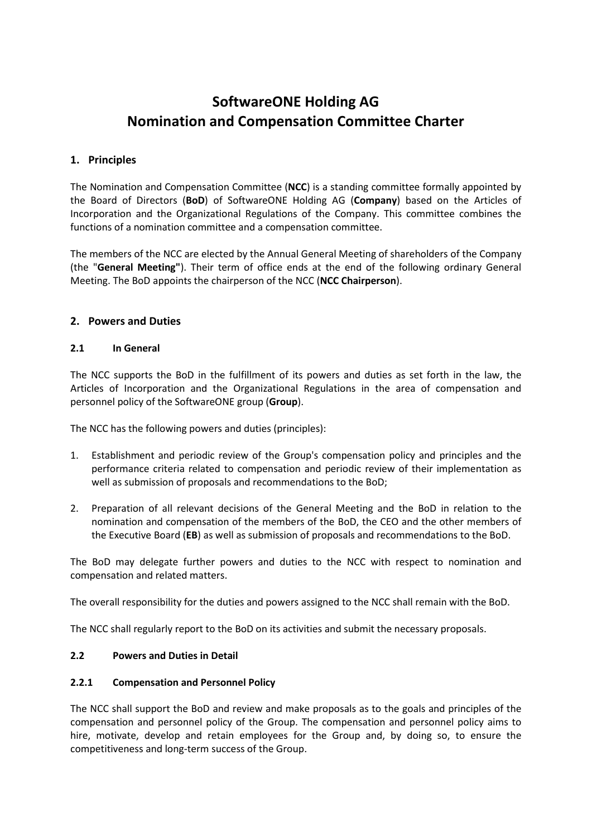# **SoftwareONE Holding AG Nomination and Compensation Committee Charter**

## **1. Principles**

The Nomination and Compensation Committee (**NCC**) is a standing committee formally appointed by the Board of Directors (**BoD**) of SoftwareONE Holding AG (**Company**) based on the Articles of Incorporation and the Organizational Regulations of the Company. This committee combines the functions of a nomination committee and a compensation committee.

The members of the NCC are elected by the Annual General Meeting of shareholders of the Company (the "**General Meeting"**). Their term of office ends at the end of the following ordinary General Meeting. The BoD appoints the chairperson of the NCC (**NCC Chairperson**).

## **2. Powers and Duties**

#### **2.1 In General**

The NCC supports the BoD in the fulfillment of its powers and duties as set forth in the law, the Articles of Incorporation and the Organizational Regulations in the area of compensation and personnel policy of the SoftwareONE group (**Group**).

The NCC has the following powers and duties (principles):

- 1. Establishment and periodic review of the Group's compensation policy and principles and the performance criteria related to compensation and periodic review of their implementation as well as submission of proposals and recommendations to the BoD;
- 2. Preparation of all relevant decisions of the General Meeting and the BoD in relation to the nomination and compensation of the members of the BoD, the CEO and the other members of the Executive Board (**EB**) as well as submission of proposals and recommendations to the BoD.

The BoD may delegate further powers and duties to the NCC with respect to nomination and compensation and related matters.

The overall responsibility for the duties and powers assigned to the NCC shall remain with the BoD.

The NCC shall regularly report to the BoD on its activities and submit the necessary proposals.

## **2.2 Powers and Duties in Detail**

#### **2.2.1 Compensation and Personnel Policy**

The NCC shall support the BoD and review and make proposals as to the goals and principles of the compensation and personnel policy of the Group. The compensation and personnel policy aims to hire, motivate, develop and retain employees for the Group and, by doing so, to ensure the competitiveness and long-term success of the Group.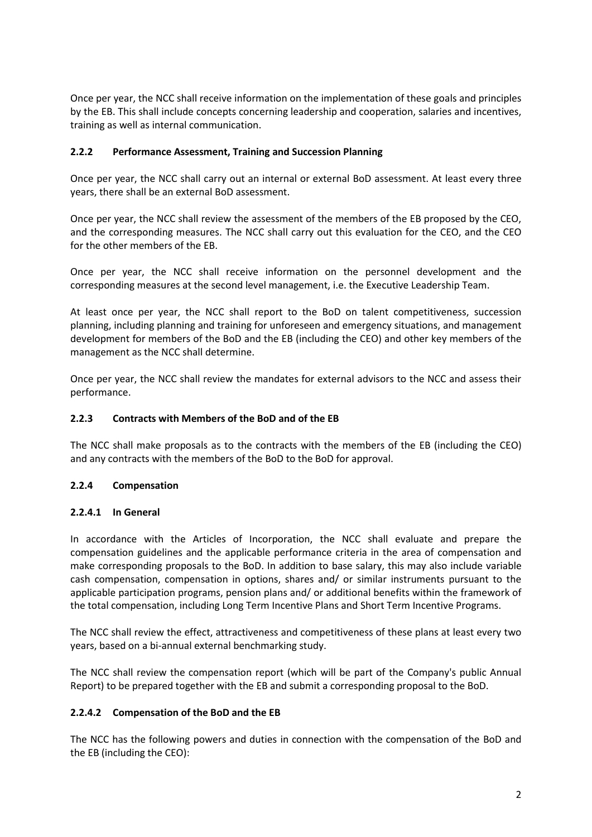Once per year, the NCC shall receive information on the implementation of these goals and principles by the EB. This shall include concepts concerning leadership and cooperation, salaries and incentives, training as well as internal communication.

### **2.2.2 Performance Assessment, Training and Succession Planning**

Once per year, the NCC shall carry out an internal or external BoD assessment. At least every three years, there shall be an external BoD assessment.

Once per year, the NCC shall review the assessment of the members of the EB proposed by the CEO, and the corresponding measures. The NCC shall carry out this evaluation for the CEO, and the CEO for the other members of the EB.

Once per year, the NCC shall receive information on the personnel development and the corresponding measures at the second level management, i.e. the Executive Leadership Team.

At least once per year, the NCC shall report to the BoD on talent competitiveness, succession planning, including planning and training for unforeseen and emergency situations, and management development for members of the BoD and the EB (including the CEO) and other key members of the management as the NCC shall determine.

Once per year, the NCC shall review the mandates for external advisors to the NCC and assess their performance.

#### **2.2.3 Contracts with Members of the BoD and of the EB**

The NCC shall make proposals as to the contracts with the members of the EB (including the CEO) and any contracts with the members of the BoD to the BoD for approval.

#### **2.2.4 Compensation**

#### **2.2.4.1 In General**

In accordance with the Articles of Incorporation, the NCC shall evaluate and prepare the compensation guidelines and the applicable performance criteria in the area of compensation and make corresponding proposals to the BoD. In addition to base salary, this may also include variable cash compensation, compensation in options, shares and/ or similar instruments pursuant to the applicable participation programs, pension plans and/ or additional benefits within the framework of the total compensation, including Long Term Incentive Plans and Short Term Incentive Programs.

The NCC shall review the effect, attractiveness and competitiveness of these plans at least every two years, based on a bi-annual external benchmarking study.

The NCC shall review the compensation report (which will be part of the Company's public Annual Report) to be prepared together with the EB and submit a corresponding proposal to the BoD.

#### **2.2.4.2 Compensation of the BoD and the EB**

The NCC has the following powers and duties in connection with the compensation of the BoD and the EB (including the CEO):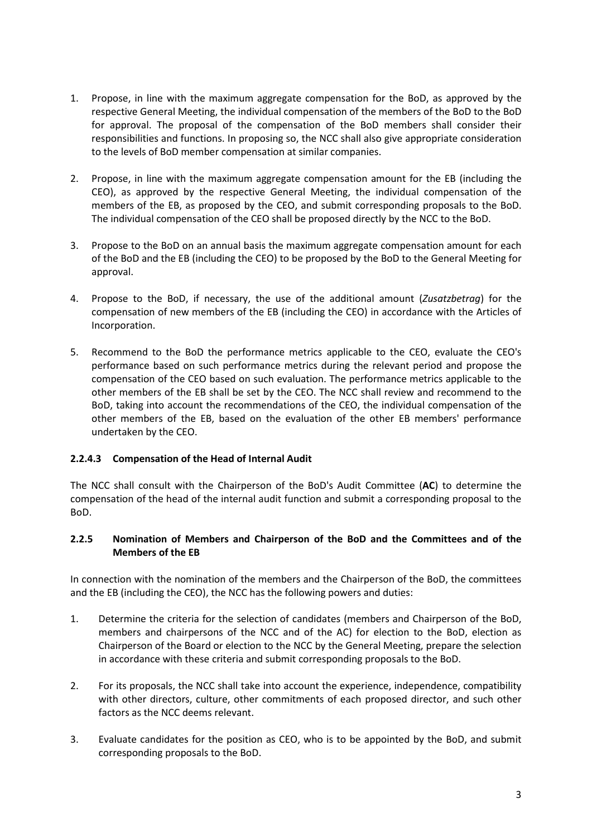- 1. Propose, in line with the maximum aggregate compensation for the BoD, as approved by the respective General Meeting, the individual compensation of the members of the BoD to the BoD for approval. The proposal of the compensation of the BoD members shall consider their responsibilities and functions. In proposing so, the NCC shall also give appropriate consideration to the levels of BoD member compensation at similar companies.
- 2. Propose, in line with the maximum aggregate compensation amount for the EB (including the CEO), as approved by the respective General Meeting, the individual compensation of the members of the EB, as proposed by the CEO, and submit corresponding proposals to the BoD. The individual compensation of the CEO shall be proposed directly by the NCC to the BoD.
- 3. Propose to the BoD on an annual basis the maximum aggregate compensation amount for each of the BoD and the EB (including the CEO) to be proposed by the BoD to the General Meeting for approval.
- 4. Propose to the BoD, if necessary, the use of the additional amount (*Zusatzbetrag*) for the compensation of new members of the EB (including the CEO) in accordance with the Articles of Incorporation.
- 5. Recommend to the BoD the performance metrics applicable to the CEO, evaluate the CEO's performance based on such performance metrics during the relevant period and propose the compensation of the CEO based on such evaluation. The performance metrics applicable to the other members of the EB shall be set by the CEO. The NCC shall review and recommend to the BoD, taking into account the recommendations of the CEO, the individual compensation of the other members of the EB, based on the evaluation of the other EB members' performance undertaken by the CEO.

## **2.2.4.3 Compensation of the Head of Internal Audit**

The NCC shall consult with the Chairperson of the BoD's Audit Committee (**AC**) to determine the compensation of the head of the internal audit function and submit a corresponding proposal to the BoD.

#### **2.2.5 Nomination of Members and Chairperson of the BoD and the Committees and of the Members of the EB**

In connection with the nomination of the members and the Chairperson of the BoD, the committees and the EB (including the CEO), the NCC has the following powers and duties:

- 1. Determine the criteria for the selection of candidates (members and Chairperson of the BoD, members and chairpersons of the NCC and of the AC) for election to the BoD, election as Chairperson of the Board or election to the NCC by the General Meeting, prepare the selection in accordance with these criteria and submit corresponding proposals to the BoD.
- 2. For its proposals, the NCC shall take into account the experience, independence, compatibility with other directors, culture, other commitments of each proposed director, and such other factors as the NCC deems relevant.
- 3. Evaluate candidates for the position as CEO, who is to be appointed by the BoD, and submit corresponding proposals to the BoD.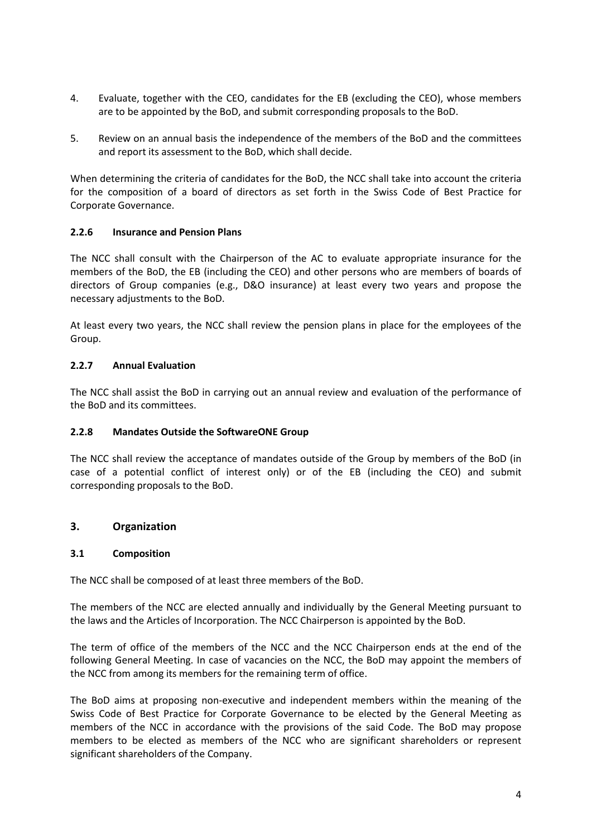- 4. Evaluate, together with the CEO, candidates for the EB (excluding the CEO), whose members are to be appointed by the BoD, and submit corresponding proposals to the BoD.
- 5. Review on an annual basis the independence of the members of the BoD and the committees and report its assessment to the BoD, which shall decide.

When determining the criteria of candidates for the BoD, the NCC shall take into account the criteria for the composition of a board of directors as set forth in the Swiss Code of Best Practice for Corporate Governance.

## **2.2.6 Insurance and Pension Plans**

The NCC shall consult with the Chairperson of the AC to evaluate appropriate insurance for the members of the BoD, the EB (including the CEO) and other persons who are members of boards of directors of Group companies (e.g., D&O insurance) at least every two years and propose the necessary adjustments to the BoD.

At least every two years, the NCC shall review the pension plans in place for the employees of the Group.

#### **2.2.7 Annual Evaluation**

The NCC shall assist the BoD in carrying out an annual review and evaluation of the performance of the BoD and its committees.

#### **2.2.8 Mandates Outside the SoftwareONE Group**

The NCC shall review the acceptance of mandates outside of the Group by members of the BoD (in case of a potential conflict of interest only) or of the EB (including the CEO) and submit corresponding proposals to the BoD.

## **3. Organization**

#### **3.1 Composition**

The NCC shall be composed of at least three members of the BoD.

The members of the NCC are elected annually and individually by the General Meeting pursuant to the laws and the Articles of Incorporation. The NCC Chairperson is appointed by the BoD.

The term of office of the members of the NCC and the NCC Chairperson ends at the end of the following General Meeting. In case of vacancies on the NCC, the BoD may appoint the members of the NCC from among its members for the remaining term of office.

The BoD aims at proposing non-executive and independent members within the meaning of the Swiss Code of Best Practice for Corporate Governance to be elected by the General Meeting as members of the NCC in accordance with the provisions of the said Code. The BoD may propose members to be elected as members of the NCC who are significant shareholders or represent significant shareholders of the Company.